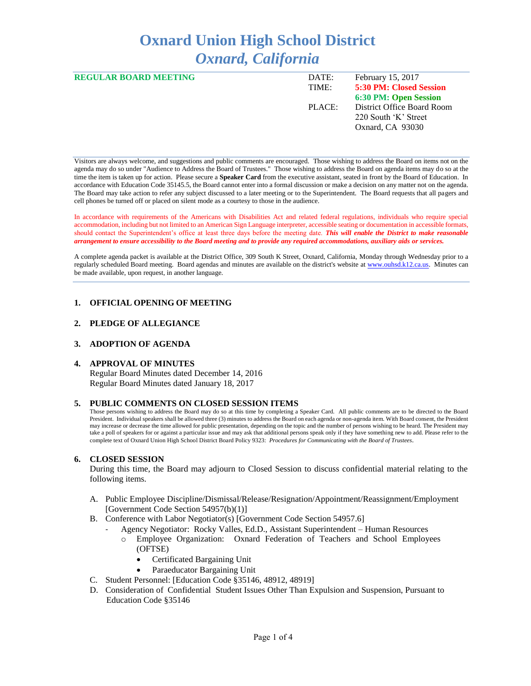# **Oxnard Union High School District** *Oxnard, California*

| <b>REGULAR BOARD MEETING</b> | DATE:<br>TIME: | February 15, 2017<br><b>5:30 PM: Closed Session</b>                    |
|------------------------------|----------------|------------------------------------------------------------------------|
|                              |                | 6:30 PM: Open Session                                                  |
|                              | PLACE:         | District Office Board Room<br>220 South 'K' Street<br>Oxnard, CA 93030 |

Visitors are always welcome, and suggestions and public comments are encouraged. Those wishing to address the Board on items not on the agenda may do so under "Audience to Address the Board of Trustees." Those wishing to address the Board on agenda items may do so at the time the item is taken up for action. Please secure a **Speaker Card** from the executive assistant, seated in front by the Board of Education. In accordance with Education Code 35145.5, the Board cannot enter into a formal discussion or make a decision on any matter not on the agenda. The Board may take action to refer any subject discussed to a later meeting or to the Superintendent. The Board requests that all pagers and cell phones be turned off or placed on silent mode as a courtesy to those in the audience.

In accordance with requirements of the Americans with Disabilities Act and related federal regulations, individuals who require special accommodation, including but not limited to an American Sign Language interpreter, accessible seating or documentation in accessible formats, should contact the Superintendent's office at least three days before the meeting date. *This will enable the District to make reasonable arrangement to ensure accessibility to the Board meeting and to provide any required accommodations, auxiliary aids or services.* 

A complete agenda packet is available at the District Office, 309 South K Street, Oxnard, California, Monday through Wednesday prior to a regularly scheduled Board meeting. Board agendas and minutes are available on the district's website a[t www.ouhsd.k12.ca.us.](http://www.ouhsd.k12.ca.us/)Minutes can be made available, upon request, in another language.

#### **1. OFFICIAL OPENING OF MEETING**

#### **2. PLEDGE OF ALLEGIANCE**

#### **3. ADOPTION OF AGENDA**

#### **4. APPROVAL OF MINUTES**

Regular Board Minutes dated December 14, 2016 Regular Board Minutes dated January 18, 2017

#### **5. PUBLIC COMMENTS ON CLOSED SESSION ITEMS**

Those persons wishing to address the Board may do so at this time by completing a Speaker Card. All public comments are to be directed to the Board President. Individual speakers shall be allowed three (3) minutes to address the Board on each agenda or non-agenda item. With Board consent, the President may increase or decrease the time allowed for public presentation, depending on the topic and the number of persons wishing to be heard. The President may take a poll of speakers for or against a particular issue and may ask that additional persons speak only if they have something new to add. Please refer to the complete text of Oxnard Union High School District Board Policy 9323: *Procedures for Communicating with the Board of Trustees*.

#### **6. CLOSED SESSION**

During this time, the Board may adjourn to Closed Session to discuss confidential material relating to the following items.

- A. Public Employee Discipline/Dismissal/Release/Resignation/Appointment/Reassignment/Employment [Government Code Section 54957(b)(1)]
- B. Conference with Labor Negotiator(s) [Government Code Section 54957.6]
	- Agency Negotiator: Rocky Valles, Ed.D., Assistant Superintendent Human Resources
		- Employee Organization: Oxnard Federation of Teachers and School Employees (OFTSE)
			- Certificated Bargaining Unit
			- Paraeducator Bargaining Unit
- C. Student Personnel: [Education Code §35146, 48912, 48919]
- D. Consideration of Confidential Student Issues Other Than Expulsion and Suspension, Pursuant to Education Code §35146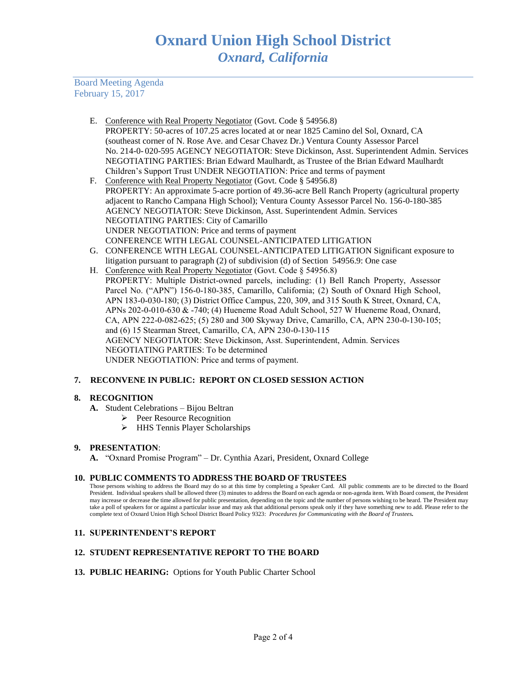Board Meeting Agenda February 15, 2017

- E. Conference with Real Property Negotiator (Govt. Code § 54956.8) PROPERTY: 50-acres of 107.25 acres located at or near 1825 Camino del Sol, Oxnard, CA (southeast corner of N. Rose Ave. and Cesar Chavez Dr.) Ventura County Assessor Parcel No. 214-0- 020-595 AGENCY NEGOTIATOR: Steve Dickinson, Asst. Superintendent Admin. Services NEGOTIATING PARTIES: Brian Edward Maulhardt, as Trustee of the Brian Edward Maulhardt Children's Support Trust UNDER NEGOTIATION: Price and terms of payment
- F. Conference with Real Property Negotiator (Govt. Code § 54956.8) PROPERTY: An approximate 5-acre portion of 49.36-acre Bell Ranch Property (agricultural property adjacent to Rancho Campana High School); Ventura County Assessor Parcel No. 156-0-180-385 AGENCY NEGOTIATOR: Steve Dickinson, Asst. Superintendent Admin. Services NEGOTIATING PARTIES: City of Camarillo UNDER NEGOTIATION: Price and terms of payment CONFERENCE WITH LEGAL COUNSEL-ANTICIPATED LITIGATION
- G. CONFERENCE WITH LEGAL COUNSEL-ANTICIPATED LITIGATION Significant exposure to litigation pursuant to paragraph (2) of subdivision (d) of Section 54956.9: One case
- H. Conference with Real Property Negotiator (Govt. Code § 54956.8) PROPERTY: Multiple District-owned parcels, including: (1) Bell Ranch Property, Assessor Parcel No. ("APN") 156-0-180-385, Camarillo, California; (2) South of Oxnard High School, APN 183-0-030-180; (3) District Office Campus, 220, 309, and 315 South K Street, Oxnard, CA, APNs 202-0-010-630 & -740; (4) Hueneme Road Adult School, 527 W Hueneme Road, Oxnard, CA, APN 222-0-082-625; (5) 280 and 300 Skyway Drive, Camarillo, CA, APN 230-0-130-105; and (6) 15 Stearman Street, Camarillo, CA, APN 230-0-130-115 AGENCY NEGOTIATOR: Steve Dickinson, Asst. Superintendent, Admin. Services NEGOTIATING PARTIES: To be determined UNDER NEGOTIATION: Price and terms of payment.

# **7. RECONVENE IN PUBLIC: REPORT ON CLOSED SESSION ACTION**

# **8. RECOGNITION**

- **A.** Student Celebrations Bijou Beltran
	- $\triangleright$  Peer Resource Recognition
	- > HHS Tennis Player Scholarships

# **9. PRESENTATION**:

**A.** "Oxnard Promise Program" – Dr. Cynthia Azari, President, Oxnard College

# **10. PUBLIC COMMENTS TO ADDRESS THE BOARD OF TRUSTEES**

Those persons wishing to address the Board may do so at this time by completing a Speaker Card. All public comments are to be directed to the Board President. Individual speakers shall be allowed three (3) minutes to address the Board on each agenda or non-agenda item. With Board consent, the President may increase or decrease the time allowed for public presentation, depending on the topic and the number of persons wishing to be heard. The President may take a poll of speakers for or against a particular issue and may ask that additional persons speak only if they have something new to add. Please refer to the complete text of Oxnard Union High School District Board Policy 9323: *Procedures for Communicating with the Board of Trustees.*

# **11. SUPERINTENDENT'S REPORT**

# **12. STUDENT REPRESENTATIVE REPORT TO THE BOARD**

**13. PUBLIC HEARING:** Options for Youth Public Charter School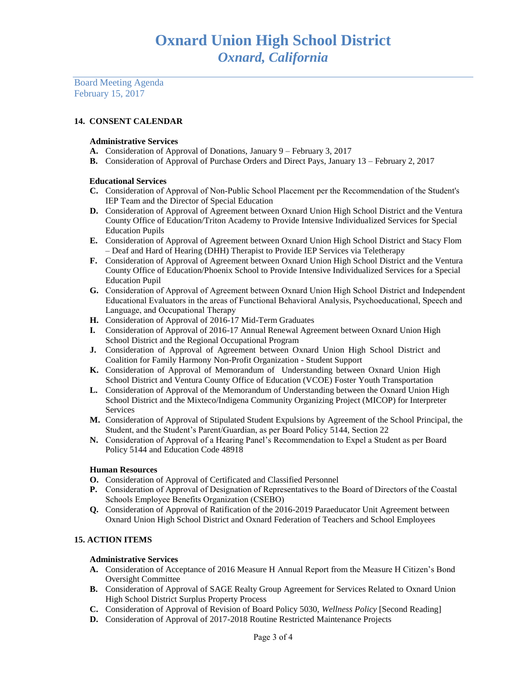Board Meeting Agenda February 15, 2017

# **14. CONSENT CALENDAR**

### **Administrative Services**

- **A.** Consideration of Approval of Donations, January 9 February 3, 2017
- **B.** Consideration of Approval of Purchase Orders and Direct Pays, January 13 February 2, 2017

#### **Educational Services**

- **C.** Consideration of Approval of Non-Public School Placement per the Recommendation of the Student's IEP Team and the Director of Special Education
- **D.** Consideration of Approval of Agreement between Oxnard Union High School District and the Ventura County Office of Education/Triton Academy to Provide Intensive Individualized Services for Special Education Pupils
- **E.** Consideration of Approval of Agreement between Oxnard Union High School District and Stacy Flom – Deaf and Hard of Hearing (DHH) Therapist to Provide IEP Services via Teletherapy
- **F.** Consideration of Approval of Agreement between Oxnard Union High School District and the Ventura County Office of Education/Phoenix School to Provide Intensive Individualized Services for a Special Education Pupil
- **G.** Consideration of Approval of Agreement between Oxnard Union High School District and Independent Educational Evaluators in the areas of Functional Behavioral Analysis, Psychoeducational, Speech and Language, and Occupational Therapy
- **H.** Consideration of Approval of 2016-17 Mid-Term Graduates
- **I.** Consideration of Approval of 2016-17 Annual Renewal Agreement between Oxnard Union High School District and the Regional Occupational Program
- **J.** Consideration of Approval of Agreement between Oxnard Union High School District and Coalition for Family Harmony Non-Profit Organization - Student Support
- **K.** Consideration of Approval of Memorandum of Understanding between Oxnard Union High School District and Ventura County Office of Education (VCOE) Foster Youth Transportation
- **L.** Consideration of Approval of the Memorandum of Understanding between the Oxnard Union High School District and the Mixteco/Indigena Community Organizing Project (MICOP) for Interpreter Services
- **M.** Consideration of Approval of Stipulated Student Expulsions by Agreement of the School Principal, the Student, and the Student's Parent/Guardian, as per Board Policy 5144, Section 22
- **N.** Consideration of Approval of a Hearing Panel's Recommendation to Expel a Student as per Board Policy 5144 and Education Code 48918

# **Human Resources**

- **O.** Consideration of Approval of Certificated and Classified Personnel
- **P.** Consideration of Approval of Designation of Representatives to the Board of Directors of the Coastal Schools Employee Benefits Organization (CSEBO)
- **Q.** Consideration of Approval of Ratification of the 2016-2019 Paraeducator Unit Agreement between Oxnard Union High School District and Oxnard Federation of Teachers and School Employees

# **15. ACTION ITEMS**

#### **Administrative Services**

- **A.** Consideration of Acceptance of 2016 Measure H Annual Report from the Measure H Citizen's Bond Oversight Committee
- **B.** Consideration of Approval of SAGE Realty Group Agreement for Services Related to Oxnard Union High School District Surplus Property Process
- **C.** Consideration of Approval of Revision of Board Policy 5030, *Wellness Policy* [Second Reading]
- **D.** Consideration of Approval of 2017-2018 Routine Restricted Maintenance Projects